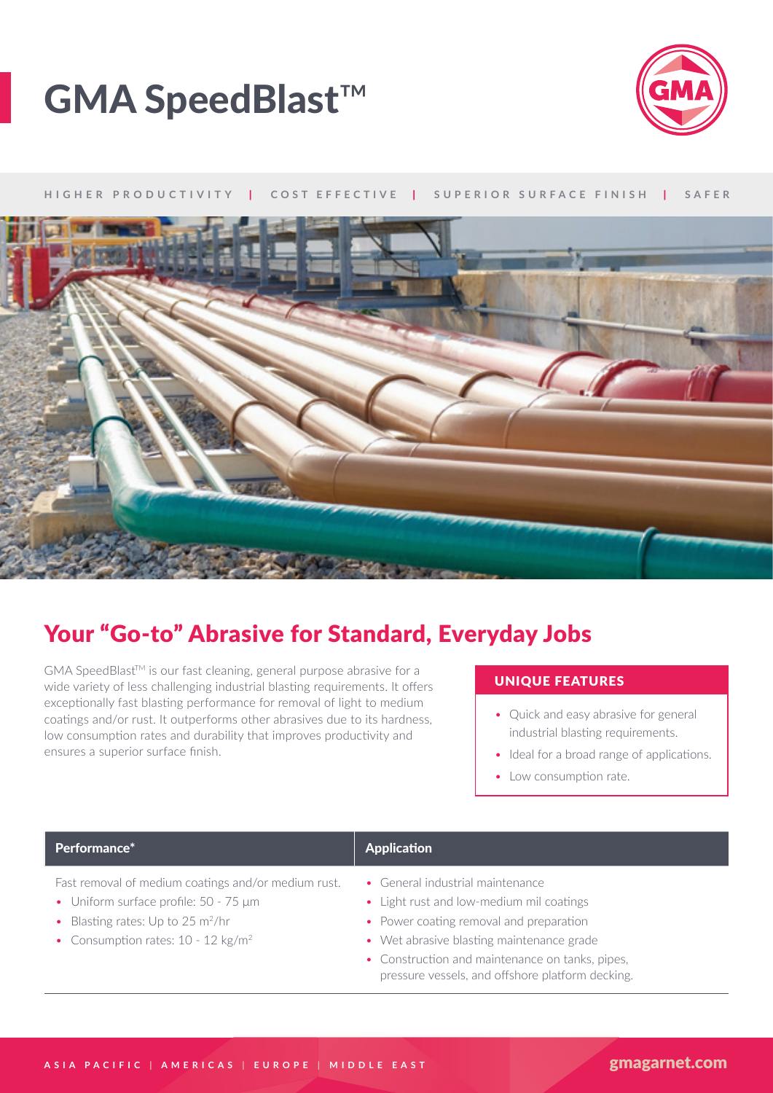



### **HIGHER PRODUCTIVITY** | **COST EFFECTIVE** | **SUPERIOR SURFACE FINISH** | **SAFER**



## Your "Go-to" Abrasive for Standard, Everyday Jobs

 $GMA SpeedBlast^{TM}$  is our fast cleaning, general purpose abrasive for a<br>wide variety of loss challenging industrial blasting requirements. It offers **UNIQUE FEATURES** wide variety of less challenging industrial blasting requirements. It offers exceptionally fast blasting performance for removal of light to medium coatings and/or rust. It outperforms other abrasives due to its hardness, low consumption rates and durability that improves productivity and ensures a superior surface finish.

- Quick and easy abrasive for general industrial blasting requirements.
- Ideal for a broad range of applications.
- Low consumption rate.

### Performance\* Application Application

- Fast removal of medium coatings and/or medium rust.
- Uniform surface profile: 50 75 μm
- Blasting rates: Up to 25  $m^2/hr$
- Consumption rates: 10 12 kg/m<sup>2</sup>
- General industrial maintenance
- Light rust and low-medium mil coatings
- Power coating removal and preparation
- Wet abrasive blasting maintenance grade
- Construction and maintenance on tanks, pipes, pressure vessels, and offshore platform decking.